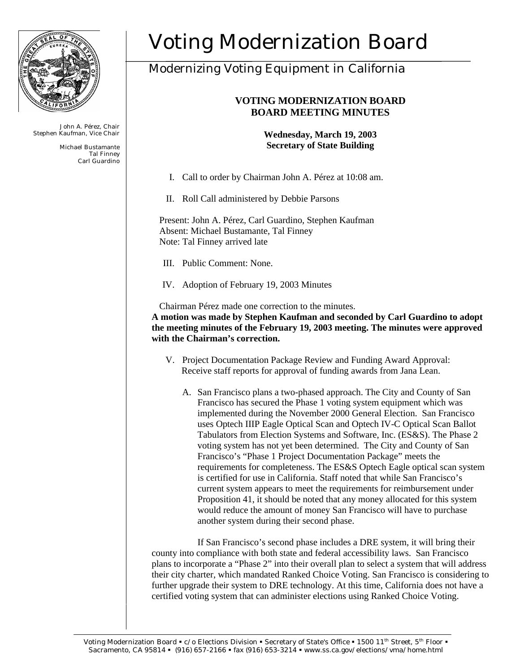

John A. Pérez, Chair Stephen Kaufman, Vice Chair

> Michael Bustamante Tal Finney Carl Guardino

# Voting Modernization Board

## Modernizing Voting Equipment in California

### **VOTING MODERNIZATION BOARD BOARD MEETING MINUTES**

**Wednesday, March 19, 2003 Secretary of State Building**

- I. Call to order by Chairman John A. Pérez at 10:08 am.
- II. Roll Call administered by Debbie Parsons

Present: John A. Pérez, Carl Guardino, Stephen Kaufman Absent: Michael Bustamante, Tal Finney Note: Tal Finney arrived late

- III. Public Comment: None.
- IV. Adoption of February 19, 2003 Minutes

Chairman Pérez made one correction to the minutes. **A motion was made by Stephen Kaufman and seconded by Carl Guardino to adopt the meeting minutes of the February 19, 2003 meeting. The minutes were approved with the Chairman's correction.** 

- V. Project Documentation Package Review and Funding Award Approval: Receive staff reports for approval of funding awards from Jana Lean.
	- A. San Francisco plans a two-phased approach. The City and County of San Francisco has secured the Phase 1 voting system equipment which was implemented during the November 2000 General Election. San Francisco uses Optech IIIP Eagle Optical Scan and Optech IV-C Optical Scan Ballot Tabulators from Election Systems and Software, Inc. (ES&S). The Phase 2 voting system has not yet been determined. The City and County of San Francisco's "Phase 1 Project Documentation Package" meets the requirements for completeness. The ES&S Optech Eagle optical scan system is certified for use in California. Staff noted that while San Francisco's current system appears to meet the requirements for reimbursement under Proposition 41, it should be noted that any money allocated for this system would reduce the amount of money San Francisco will have to purchase another system during their second phase.

If San Francisco's second phase includes a DRE system, it will bring their county into compliance with both state and federal accessibility laws. San Francisco plans to incorporate a "Phase 2" into their overall plan to select a system that will address their city charter, which mandated Ranked Choice Voting. San Francisco is considering to further upgrade their system to DRE technology. At this time, California does not have a certified voting system that can administer elections using Ranked Choice Voting.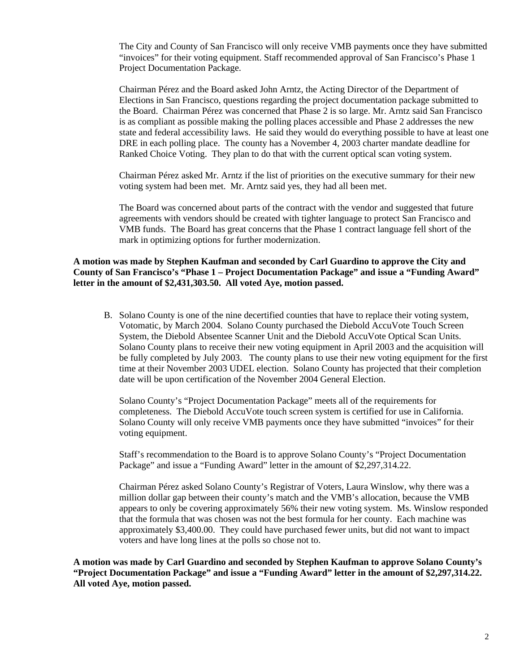The City and County of San Francisco will only receive VMB payments once they have submitted "invoices" for their voting equipment. Staff recommended approval of San Francisco's Phase 1 Project Documentation Package.

Chairman Pérez and the Board asked John Arntz, the Acting Director of the Department of Elections in San Francisco, questions regarding the project documentation package submitted to the Board. Chairman Pérez was concerned that Phase 2 is so large. Mr. Arntz said San Francisco is as compliant as possible making the polling places accessible and Phase 2 addresses the new state and federal accessibility laws. He said they would do everything possible to have at least one DRE in each polling place. The county has a November 4, 2003 charter mandate deadline for Ranked Choice Voting. They plan to do that with the current optical scan voting system.

Chairman Pérez asked Mr. Arntz if the list of priorities on the executive summary for their new voting system had been met. Mr. Arntz said yes, they had all been met.

The Board was concerned about parts of the contract with the vendor and suggested that future agreements with vendors should be created with tighter language to protect San Francisco and VMB funds. The Board has great concerns that the Phase 1 contract language fell short of the mark in optimizing options for further modernization.

#### **A motion was made by Stephen Kaufman and seconded by Carl Guardino to approve the City and County of San Francisco's "Phase 1 – Project Documentation Package" and issue a "Funding Award" letter in the amount of \$2,431,303.50. All voted Aye, motion passed.**

B. Solano County is one of the nine decertified counties that have to replace their voting system, Votomatic, by March 2004. Solano County purchased the Diebold AccuVote Touch Screen System, the Diebold Absentee Scanner Unit and the Diebold AccuVote Optical Scan Units. Solano County plans to receive their new voting equipment in April 2003 and the acquisition will be fully completed by July 2003. The county plans to use their new voting equipment for the first time at their November 2003 UDEL election. Solano County has projected that their completion date will be upon certification of the November 2004 General Election.

Solano County's "Project Documentation Package" meets all of the requirements for completeness. The Diebold AccuVote touch screen system is certified for use in California. Solano County will only receive VMB payments once they have submitted "invoices" for their voting equipment.

Staff's recommendation to the Board is to approve Solano County's "Project Documentation Package" and issue a "Funding Award" letter in the amount of \$2,297,314.22.

Chairman Pérez asked Solano County's Registrar of Voters, Laura Winslow, why there was a million dollar gap between their county's match and the VMB's allocation, because the VMB appears to only be covering approximately 56% their new voting system. Ms. Winslow responded that the formula that was chosen was not the best formula for her county. Each machine was approximately \$3,400.00. They could have purchased fewer units, but did not want to impact voters and have long lines at the polls so chose not to.

**A motion was made by Carl Guardino and seconded by Stephen Kaufman to approve Solano County's "Project Documentation Package" and issue a "Funding Award" letter in the amount of \$2,297,314.22. All voted Aye, motion passed.**